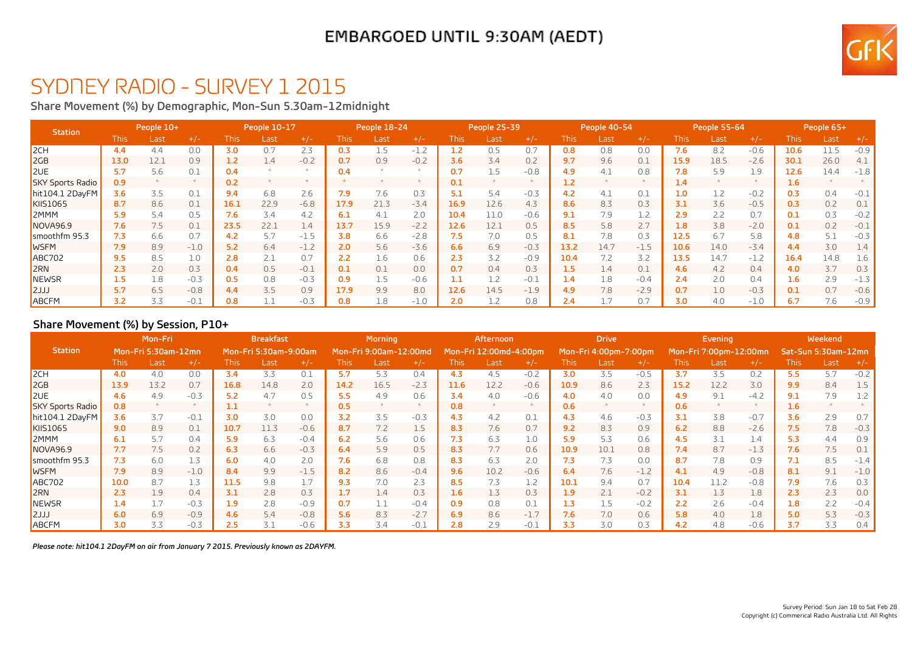### EMBARGOED UNTIL 9:30AM (AEDT)



## SYDNEY RADIO - SURVEY 1 2015

**Share Movement (%) by Demographic, Mon-Sun 5.30am-12midnight**

| <b>Station</b>          | People 10+       |      |        | People 10-17 |      |        | <b>People 18-24</b> |      |        | People 25-39 |      | People 40-54 |      |      | People 55-64 |             |      | People 65+ |                  |      |        |
|-------------------------|------------------|------|--------|--------------|------|--------|---------------------|------|--------|--------------|------|--------------|------|------|--------------|-------------|------|------------|------------------|------|--------|
|                         | This             | Last | $+/-$  | This.        | Last | $+/-$  | <b>This</b>         | Last | $+/-$  | This         | Last | $+/-$        | This | Last | $+/-$        | <b>This</b> | Last | $+/-$      | This:            | Last | $+/-$  |
| 2CH                     | 4.4              | 4.4  | 0.0    | 3.0          | 0.7  | 2.3    | 0.3                 |      | $-1.2$ |              | 0.5  | 0.7          | 0.8  | 0.8  | 0.0          | 7.6         | 8.2  | $-0.6$     | 10.6             | 11.5 | $-0.9$ |
| 2GB                     | 13.0             | 12.1 | 0.9    | 1.2          | 1.4  | $-0.2$ | 0.7                 | 0.9  | $-0.2$ | 3.6          | 3.4  | 0.2          | 9.7  | 9.6  | 0.1          | 15.9        | 18.5 | $-2.6$     | 30.1             | 26.0 | 4.1    |
| <b>ZUE</b>              |                  | 5.6  | 0.1    | 0.4          |      |        | 0.4                 |      |        | 0.7          |      | $-0.8$       | 4.9  | 4.1  | 0.8          | 7.8         | 5.9  | 1.9        | 12.6             | 14.4 | $-1.8$ |
| <b>SKY Sports Radio</b> | 0.9              |      |        | 0.2          |      |        |                     |      |        | 0.1          |      |              | 1.2  |      |              | 1.4         |      |            | 1.6              |      |        |
| hit104.1 2DavFM         | 3.6              | 3.5  | 0.1    | 9.4          | 6.8  | 2.6    | 7.9                 | 7.6  | 0.3    | 5.1          | 5.4  | $-0.3$       | 4.2  | 4.1  | 0.1          | 1.0         |      | $-0.2$     | 0.3              | 0.4  |        |
| KIIS1065                | 8.7              | 8.6  | 0.1    | 16.1         | 22.9 | $-6.8$ | 17.9                | 21.3 | $-3.4$ | 16.9         | 12.6 | 4.3          | 8.6  | 8.3  | 0.3          | 3.1         | 3.6  | $-0.5$     | 0.3              | 0.2  | 0.1    |
| <b>2MMM</b>             | 5.9              | 5.4  | 0.5    | 7.6          | 3.4  | 4.2    | 6.1                 | 4.1  | 2.0    | 10.4         | 11.0 | $-0.6$       | 9.1  | 7.9  | 1.2          | 2.9         | 2.2  | 0.7        | 0.1              | 0.3  | $-0.2$ |
| <b>NOVA96.9</b>         | 7.6              | 7.5  | 0.1    | 23.5         | 22.1 | 1.4    | 13.7                | 15.9 | $-2.2$ | 12.6         | 12.1 | 0.5          | 8.5  | 5.8  | 2.7          | 1.8         | 3.8  | $-2.0$     | 0.1              | 0.2  | $-0.1$ |
| smoothfm 95.3           | 7.3              | 6.6  | 0.7    | 4.2          | 5.7  | $-1.5$ | 3.8                 | 6.6  | $-2.8$ | 7.5          | 7.0  | 0.5          | 8.1  | 7.8  | 0.3          | 12.5        | 6.7  | 5.8        | 4.8              | 5.1  | $-0.3$ |
| <b>WSFM</b>             | 7.9              | 8.9  | $-1.0$ | 5.2          | 6.4  | $-1.2$ | 2.0                 | 5.6  | $-3.6$ | 6.6          | 6.9  | $-0.3$       | 13.2 | 14.7 | $-1.5$       | 10.6        | 14.0 | $-3.4$     | 4.4              | 3.0  |        |
| <b>ABC702</b>           | 9.5              | 8.5  | 1.0    | 2.8          | 2.1  | 0.7    |                     | 1.6  | 0.6    | 2.3          | 3.2  | $-0.9$       | 10.4 |      | 3.2          | 13.5        | 14.7 | $-1.2$     | 16.4             | 14.8 |        |
| <b>ZRN</b>              | 2.3              | 2.0  | 0.3    | 0.4          | 0.5  | $-0.1$ | 0.1                 | 0.1  | 0.0    | 0.7          | 0.4  | 0.3          | 1.5  | 1.4  | 0.1          | 4.6         | 4.2  | 0.4        | 4.0              | 3.7  | 0.3    |
| NEWSR                   | 4.5 <sub>1</sub> | 1.8  | $-0.3$ | 0.5          | 0.8  | $-0.3$ | 0.9                 |      | $-0.6$ |              |      | $-0.1$       | 1.4  | 1.8  | $-0.4$       | 2.4         | 2.0  | 0.4        | $1.6\phantom{0}$ | 2.9  | - 1.5  |
| LLL                     | 5.7              | 6.5  | $-0.8$ | 4.4          | 3.5  | 0.9    | 17.9                | 9.9  | 8.0    | 12.6         | 14.5 | $-1.9$       | 4.9  | 7.8  | $-2.9$       | 0.7         | 1.0  | $-0.3$     | 0.1              | 0.7  | $-0.6$ |
| ABCFM                   | 3.2              | 3.3  | $-0.1$ | 0.8          |      | $-0.3$ | 0.8                 | 1.8  | $-1.0$ | 2.0          |      | 0.8          | 2.4  |      | 0.7          | 3.0         | 4.0  | $-1.0$     | 6.7              | 7.6  | $-0.9$ |

#### **Share Movement (%) by Session, P10+**

|                         | Mon-Fri<br>Mon-Fri 5:30am-12mn |      |        | <b>Breakfast</b> |                       |        | <b>Morning</b> |                        |        | Afternoon   |                        |        | <b>Drive</b> |                       |        |      | <b>Evening</b>         |        | Weekend             |      |        |
|-------------------------|--------------------------------|------|--------|------------------|-----------------------|--------|----------------|------------------------|--------|-------------|------------------------|--------|--------------|-----------------------|--------|------|------------------------|--------|---------------------|------|--------|
| <b>Station</b>          |                                |      |        |                  | Mon-Fri 5:30am-9:00am |        |                | Mon-Fri 9:00am-12:00md |        |             | Mon-Fri 12:00md-4:00pm |        |              | Mon-Fri 4:00pm-7:00pm |        |      | Mon-Fri 7:00pm-12:00mn |        | Sat-Sun 5:30am-12mn |      |        |
|                         | <b>This</b>                    | Last | $+/-$  | <b>This</b>      | Last                  | $+/-$  | This           | Last                   | $+/-$  | <b>This</b> | Last                   | $+/-$  | <b>This</b>  | Last                  | $+/-$  | This | Last                   | $+/-$  | <b>This</b>         | Last | $+/-$  |
| 2CH                     | 4.0                            | 4.0  | 0.0    | 3.4              | 3.3                   | 0.1    | 5.7            | 5.3                    | 0.4    | 4.3         | 4.5                    | $-0.2$ | 3.0          | 3.5                   | $-0.5$ | 3.7  | 3.5                    | 0.2    | 5.5                 | 5.7  | $-0.2$ |
| 2GB                     | 13.9                           | 13.2 | 0.7    | 16.8             | 14.8                  | 2.0    | 14.2           | 16.5                   | $-2.3$ | 11.6        | 12.2                   | $-0.6$ | 10.9         | 8.6                   | 2.3    | 15.2 | 12.2                   | 3.0    | 9.9                 | 8.4  | 1.5    |
| <b>ZUE</b>              | 4.6                            | 4.9  | $-0.3$ | 5.2              | 4.7                   | 0.5    | 5.5            | 4.9                    | 0.6    | 3.4         | 4.0                    | $-0.6$ | 4.0          | 4.0                   | 0.0    | 4.9  | 9.1                    | $-4.2$ | 9.1                 | 7.9  |        |
| <b>SKY Sports Radio</b> | 0.8                            |      |        |                  |                       |        | 0.5            |                        |        | 0.8         |                        |        | 0.6          |                       |        | 0.6  |                        |        | 1.6                 |      |        |
| hit104.1 2DayFM         | 3.6                            | 3.7  | $-0.1$ | 3.0              | 3.0                   | 0.0    | 3.2            | 3.5                    | $-0.3$ | 4.3         | 4.2                    | 0.1    | 4.3          | 4.6                   | $-0.3$ | 3.1  | 3.8                    | $-0.7$ | 3.6                 | 2.9  | 0.7    |
| <b>KIIS1065</b>         | 9.0                            | 8.9  | 0.1    | 10.7             | 11.3                  | $-0.6$ | 8.7            | 7.2                    | 1.5    | 8.3         | 7.6                    | 0.7    | 9.2          | 8.3                   | 0.9    | 6.2  | 8.8                    | $-2.6$ | 7.5                 | 7.8  | $-0.3$ |
| 2MMM                    | 6.1                            | 5.7  | 0.4    | 5.9              | 6.3                   | $-0.4$ | 6.2            | 5.6                    | 0.6    | 7.3         | 6.3                    | 1.0    | 5.9          | 5.3                   | 0.6    | 4.5  | 3.1                    | 1.4    | 5.3                 | 4.4  | 0.9    |
| NOVA96.9                | 7.7                            | 7.5  | 0.2    | 6.3              | 6.6                   | $-0.3$ | 6.4            | 5.9                    | 0.5    | 8.3         | 7.7                    | 0.6    | 10.9         | 10.1                  | 0.8    | 7.4  | 8.7                    | $-1.3$ | 7.6                 | 7.5  | 0.1    |
| smoothfm 95.3           | 7.3                            | 6.0  | 1.3    | 6.0              | 4.0                   | 2.0    | 7.6            | 6.8                    | 0.8    | 8.3         | 6.3                    | 2.0    | 7.3          | 7.3                   | 0.0    | 8.7  | 7.8                    | 0.9    | 7.1                 | 8.5  | $-1.4$ |
| <b>WSFM</b>             | 7.9                            | 8.9  | $-1.0$ | 8.4              | 9.9                   | $-1.5$ | 8.2            | 8.6                    | $-0.4$ | 9.6         | 10.2                   | $-0.6$ | 6.4          | 7.6                   | $-1.2$ | 4.1  | 4.9                    | $-0.8$ | 8.1                 | 9.1  | $-1.0$ |
| <b>ABC702</b>           | 10.0                           | 8.7  | 1.3    | 11.5             | 9.8                   | 1.7    | 9.3            | 7.0                    | 2.3    | 8.5         | 7.3                    | 1.2    | 10.1         | 9.4                   | 0.7    | 10.4 | 11.2                   | $-0.8$ | 7.9                 | 7.6  | 0.3    |
| <b>2RN</b>              | 2.3                            | 1.9  | 0.4    | 3.1              | 2.8                   | 0.3    | 1.7            | 1.4                    | 0.3    | 1.6         | 1.3                    | 0.3    | 1.9          |                       | $-0.2$ | 3.1  | 1.3                    | 1.8    | 2.3                 | 2.3  | 0.0    |
| <b>NEWSR</b>            | 1.4                            |      | $-0.3$ | 1.9              | 2.8                   | $-0.9$ | 0.7            |                        | $-0.4$ | 0.9         | 0.8                    | 0.1    | 1.3          | 1.5                   | $-0.2$ | 2.2  | 2.6                    | $-0.4$ | 1.8                 | 2.2  | $-0.4$ |
| LLL                     | 6.0                            | 6.9  | $-0.9$ | 4.6              | 5.4                   | $-0.8$ | 5.6            | 8.3                    | $-2.7$ | 6.9         | 8.6                    | $-1.7$ | 7.6          | 7.0                   | 0.6    | 5.8  | 4.0                    | 1.8    | 5.0                 | 5.3  | $-0.3$ |
| ABCFM                   | 3.0                            | 3.3  | $-0.3$ | 2.5              | 3.1                   | $-0.6$ | 3.3            | 3.4                    | $-0.1$ | 2.8         | 2.9                    | $-0.1$ | 3.3          | 3.0                   | 0.3    | 4.2  | 4.8                    | $-0.6$ | 3.7                 | 3.3  | 0.4    |

*Please note: hit104.1 2DayFM on air from January 7 2015. Previously known as 2DAYFM.*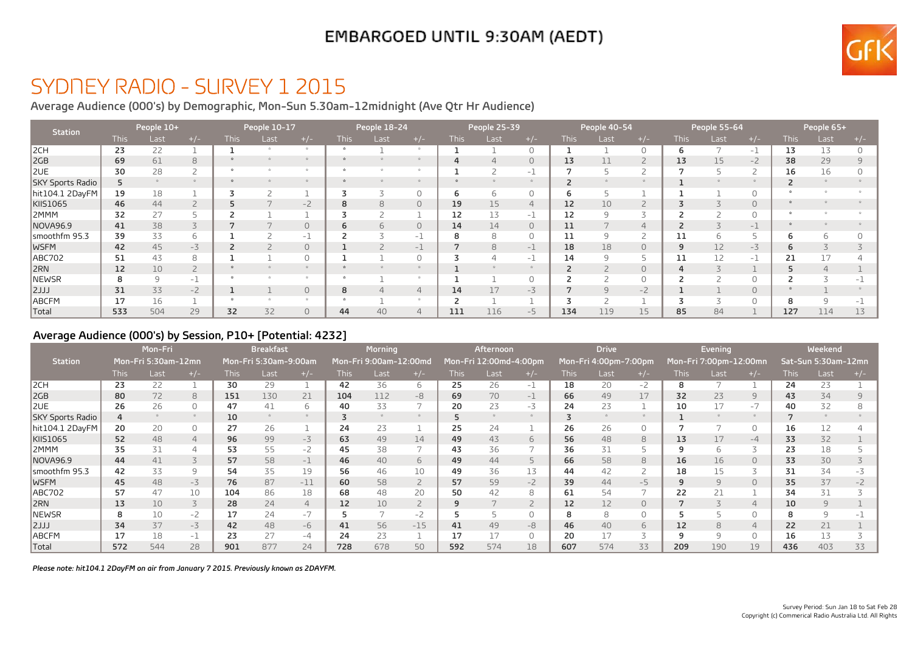## EMBARGOED UNTIL 9:30AM (AEDT)



## SYDNEY RADIO - SURVEY 1 2015

**Average Audience (000's) by Demographic, Mon-Sun 5.30am-12midnight (Ave Qtr Hr Audience)**

| <b>Station</b>   |             | People 10+   |                | People 10-17 |      |               | People 18-24 |      |                | People 25-39 |      | People 40-54   |             |                |                | People 55-64 |      | People 65+     |             |      |    |
|------------------|-------------|--------------|----------------|--------------|------|---------------|--------------|------|----------------|--------------|------|----------------|-------------|----------------|----------------|--------------|------|----------------|-------------|------|----|
|                  | <b>This</b> | Last         | $+/-$          | <b>This</b>  | Last | $+/-$         | <b>This</b>  | Last | $+/-$          | <b>This</b>  | Last | $+/-$          | <b>This</b> | Last           | $+/-$          | <b>This</b>  | Last | $+/-$          | <b>This</b> | Last |    |
| 2CH              | 23          | 22           |                |              |      | $\mathcal{R}$ |              |      |                |              |      | 0              |             |                |                | ь            |      | $-1$           | 13          | 13   |    |
| 2GB              | 69          | 61           | 8              |              |      |               |              |      |                | 4            |      | $\circ$        | 13          |                |                | 13           | 15   | $-2$           | 38          | 29   |    |
| 2UE              | 30          | 28           | $\overline{2}$ |              |      |               |              |      |                |              |      | $-1$           |             |                |                |              |      |                | 16          | 16   |    |
| SKY Sports Radio | 5.          |              |                |              |      |               |              |      |                |              |      |                |             |                |                |              |      |                |             |      |    |
| hit104.1 2DayFM  | 19          | 18           |                |              |      |               |              |      | 0              | 6            | h    | 0              | 6           |                |                |              |      | $\Omega$       |             |      |    |
| KIIS1065         | 46          | 44           | $\overline{2}$ |              |      | $-2$          | 8            | 8    | $\circ$        | 19           | 15   | $\overline{4}$ | 12          | 10             | ے              |              |      | $\overline{0}$ |             |      |    |
| I2MMM            | 32          | 27           |                |              |      |               |              |      |                | 12           | 13   | $-1$           | 12          |                |                |              |      | $\Omega$       |             |      |    |
| NOVA96.9         | 41          | 38           | 3              |              |      | $\circ$       | 6            | 6    | $\circ$        | 14           | 14   | $\circ$        | 11          |                | $\overline{4}$ |              |      | 一上             |             |      |    |
| smoothfm 95.3    | 39          | 33           | 6              |              |      | $-1$          |              |      | -1             | 8            | 8    | $\circ$        | 11          | 9              |                | 11           | h    |                |             |      |    |
| <b>WSFM</b>      | 42          | 45           | $-3$           |              |      | $\circ$       |              |      | -1             |              | 8    | $-1$           | 18          | 18             | $\circ$        | 9            | 12   | $-3$           |             |      |    |
| ABC702           | 51          | 43           | 8              |              |      |               |              |      | $\Omega$       |              |      | $-1$           | 14          | $\mathsf{Q}$   |                | 11           | 12   | -1             | 21          |      |    |
| 2RN              | 12          | 10           | $\overline{2}$ |              |      |               |              |      |                |              |      |                |             |                | 0              | 4            |      |                |             |      |    |
| NEWSR            | 8           | $\mathsf{Q}$ | $-1$           |              |      |               |              |      |                |              |      | $\Omega$       |             |                | 0              |              |      | $\Omega$       |             |      |    |
| 2JJJ             | 31          | 33           | $-2$           |              |      | $\circ$       | 8            |      | $\overline{4}$ | 14           | 17   | $-3$           |             | $\overline{q}$ | $-2$           |              |      | $\Omega$       |             |      |    |
| ABCFM            | 17          | 16           |                |              |      |               |              |      |                |              |      |                |             |                |                |              |      | $\bigcap$      |             |      |    |
| Total            | 533         | 504          | 29             | 32           | 32   | $\Omega$      | 44           | 40   | $\overline{4}$ | 111          | 116  | $-5$           | 134         | 119            | 15             | 85           | 84   |                | 127         | 114  | 13 |

#### **Average Audience (000's) by Session, P10+ [Potential: 4232]**

|                  | Mon-Fri     |                     |                | <b>Breakfast</b> |                       |                | <b>Morning</b> |                        |                | Afternoon   |                        |                | <b>Drive</b> |                       |                | Evening     |                        |          | Weekend     |                     |       |
|------------------|-------------|---------------------|----------------|------------------|-----------------------|----------------|----------------|------------------------|----------------|-------------|------------------------|----------------|--------------|-----------------------|----------------|-------------|------------------------|----------|-------------|---------------------|-------|
| <b>Station</b>   |             | Mon-Fri 5:30am-12mn |                |                  | Mon-Fri 5:30am-9:00am |                |                | Mon-Fri 9:00am-12:00md |                |             | Mon-Fri 12:00md-4:00pm |                |              | Mon-Fri 4:00pm-7:00pm |                |             | Mon-Fri 7:00pm-12:00mn |          |             | Sat-Sun 5:30am-12mn |       |
|                  | <b>This</b> | Last                | $+/-$          | <b>This</b>      | Last                  | $+/-$          | <b>This</b>    | Last                   | $+/-$          | <b>This</b> | Last                   | $+/-$          | <b>This</b>  | Last                  | $+/-$          | <b>This</b> | Last                   | $+/-$    | <b>This</b> | Last                | $+/-$ |
| 2CH              | 23          | 22                  |                | 30               | 29                    |                | 42             | 36                     | 6              | 25          | 26                     | $-1$           | 18           | 20                    | $-2$           | 8           |                        |          | 24          | 23                  |       |
| I2GB             | 80          | 72                  | 8              | 151              | 130                   | 21             | 104            | 112                    | -8             | 69          | 70                     | $-1$           | 66           | 49                    | 17             | 32          | 23                     | 9        | 43          | 34                  |       |
| IZUE             | 26          | 26                  | 0              | 47               | 41                    | 6              | 40             | 33                     | 7              | 20          | 23                     | $-3$           | 24           | 23                    |                | 10          | 17                     | $-7$     | 40          | 32                  |       |
| SKY Sports Radio | 4           |                     |                | 10               |                       |                |                |                        |                |             |                        |                |              |                       |                |             |                        |          |             |                     |       |
| hit104.1 2DayFM  | 20          | 20                  | 0              | 27               | 26                    |                | 24             | 23                     |                | 25          | 24                     |                | 26           | 26                    | 0              |             |                        | $\Omega$ | 16          | 12                  |       |
| KIIS1065         | 52          | 48                  | $\overline{4}$ | 96               | 99                    | $-3$           | 63             | 49                     | 14             | 49          | 43                     | 6              | 56           | 48                    | 8              | 13          | 17                     | $-4$     | 33          | 32                  |       |
| 2MMM             | 35          | 31                  | $\overline{4}$ | 53               | 55                    | $-2$           | 45             | 38                     | 7              | 43          | 36                     | 7              | 36           | 31                    | 5              | 9           | 6                      | $\sim$   | 23          | 18                  |       |
| <b>NOVA96.9</b>  | 44          | 41                  | 3              | 57               | 58                    | $-1$           | 46             | 40                     | 6              | 49          | 44                     | 5              | 66           | 58                    | 8              | 16          | 16                     | $\Omega$ | 33          | 30                  |       |
| smoothfm 95.3    | 42          | 33                  | 9              | 54               | 35                    | 19             | 56             | 46                     | 10             | 49          | 36                     | 13             | 44           | 42                    | $\overline{2}$ | 18          | 15                     |          | 31          | 34                  |       |
| <b>IWSFM</b>     | 45          | 48                  | $-3$           | 76               | 87                    | $-11$          | 60             | 58                     | $\overline{2}$ | 57          | 59                     | $-2$           | 39           | 44                    | $-5$           | 9           | 9                      | $\circ$  | 35          | 37                  |       |
| ABC702           | 57          | 47                  | 10             | 104              | 86                    | 18             | 68             | 48                     | 20             | 50          | 42                     | 8              | 61           | 54                    |                | 22          | 21                     |          | 34          | 31                  |       |
| 2RN              | 13          | 10                  | 3              | 28               | 24                    | $\overline{4}$ | 12             | 10                     | $\overline{2}$ | 9           |                        | $\overline{2}$ | 12           | 12                    | $\Omega$       |             |                        | 4        | 10          | $\mathsf{q}$        |       |
| NEWSR            | 8           | 10                  | $-2$           | 17               | 24                    | $-7$           |                |                        | $-2$           |             |                        | $\Omega$       |              | 8                     | 0              |             |                        |          |             | q                   |       |
| $ 2$ JJJ         | 34          | 37                  | $-3$           | 42               | 48                    | $-6$           | 41             | 56                     | $-15$          | 41          | 49                     | $-8$           | 46           | 40                    | 6              | 12          | 8                      | 4        | 22          | 21                  |       |
| <b>ABCFM</b>     | 17          | 18                  | $-1$           | 23               |                       | $-4$           | 24             | 23                     |                | 17          |                        | $\circ$        | 20           |                       | $\rightarrow$  | ٩           | $\Theta$               |          | 16          | 13                  |       |
| <b>Total</b>     | 572         | 544                 | 28             | 901              | 877                   | 24             | 728            | 678                    | 50             | 592         | 574                    | 18             | 607          | 574                   | 33             | 209         | 190                    | 19       | 436         | 403                 | 33    |

*Please note: hit104.1 2DayFM on air from January 7 2015. Previously known as 2DAYFM.*